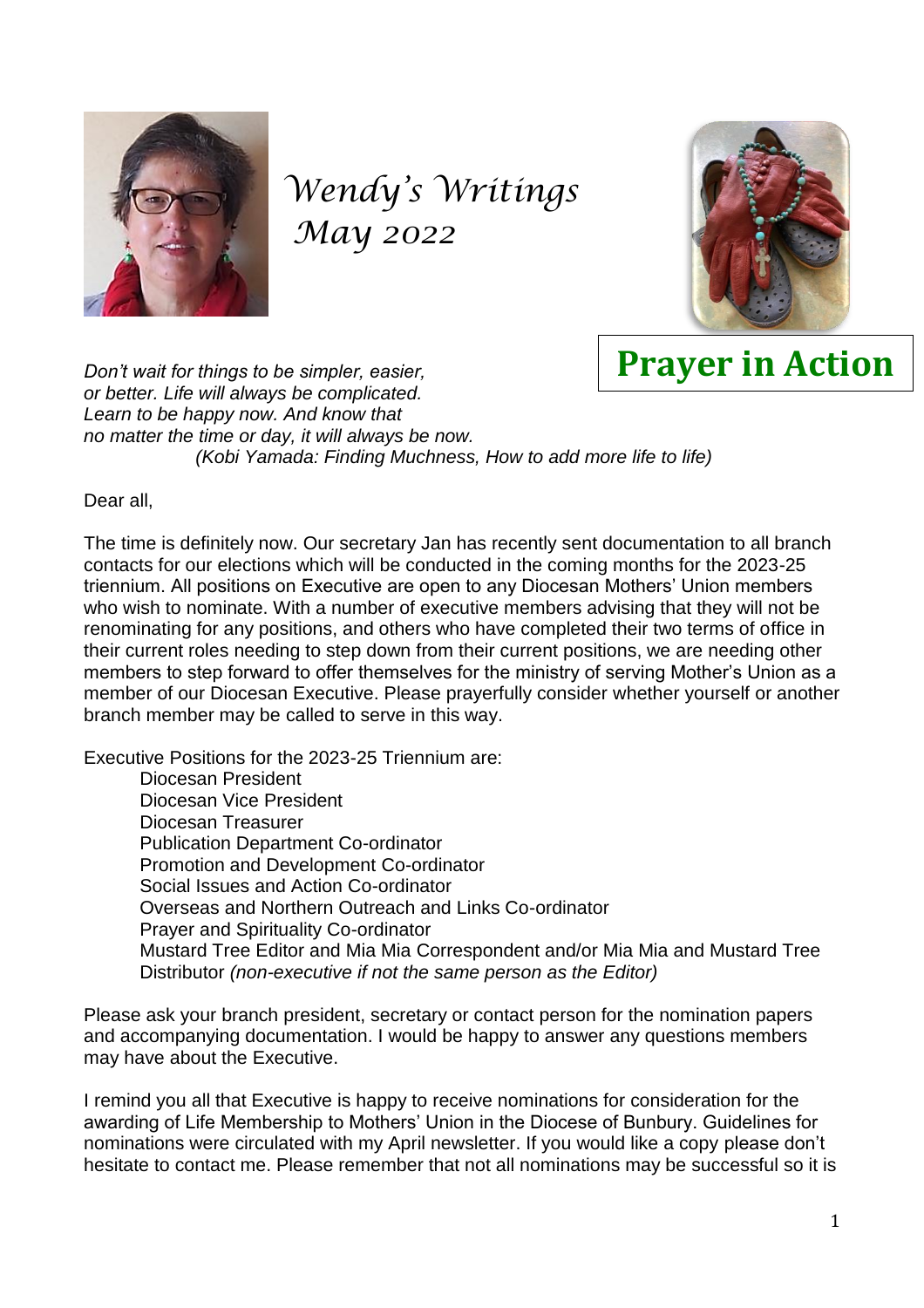

# *Wendy's Writings May 2022*



# **Prayer in Action**

*Don't wait for things to be simpler, easier, or better. Life will always be complicated. Learn to be happy now. And know that no matter the time or day, it will always be now. (Kobi Yamada: Finding Muchness, How to add more life to life)*

Dear all,

The time is definitely now. Our secretary Jan has recently sent documentation to all branch contacts for our elections which will be conducted in the coming months for the 2023-25 triennium. All positions on Executive are open to any Diocesan Mothers' Union members who wish to nominate. With a number of executive members advising that they will not be renominating for any positions, and others who have completed their two terms of office in their current roles needing to step down from their current positions, we are needing other members to step forward to offer themselves for the ministry of serving Mother's Union as a member of our Diocesan Executive. Please prayerfully consider whether yourself or another branch member may be called to serve in this way.

Executive Positions for the 2023-25 Triennium are:

Diocesan President Diocesan Vice President Diocesan Treasurer Publication Department Co-ordinator Promotion and Development Co-ordinator Social Issues and Action Co-ordinator Overseas and Northern Outreach and Links Co-ordinator Prayer and Spirituality Co-ordinator Mustard Tree Editor and Mia Mia Correspondent and/or Mia Mia and Mustard Tree Distributor *(non-executive if not the same person as the Editor)*

Please ask your branch president, secretary or contact person for the nomination papers and accompanying documentation. I would be happy to answer any questions members may have about the Executive.

I remind you all that Executive is happy to receive nominations for consideration for the awarding of Life Membership to Mothers' Union in the Diocese of Bunbury. Guidelines for nominations were circulated with my April newsletter. If you would like a copy please don't hesitate to contact me. Please remember that not all nominations may be successful so it is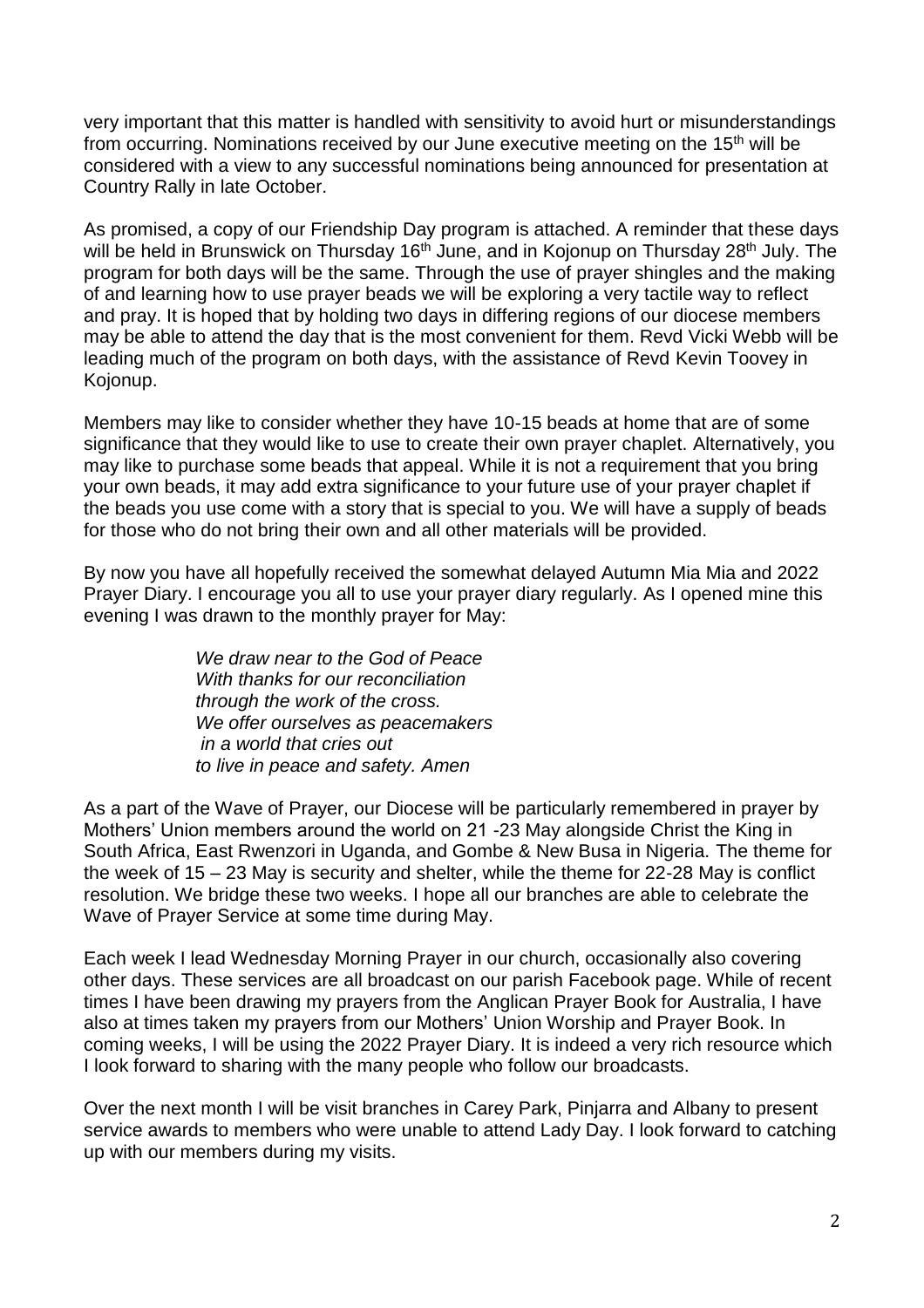very important that this matter is handled with sensitivity to avoid hurt or misunderstandings from occurring. Nominations received by our June executive meeting on the 15<sup>th</sup> will be considered with a view to any successful nominations being announced for presentation at Country Rally in late October.

As promised, a copy of our Friendship Day program is attached. A reminder that these days will be held in Brunswick on Thursday 16<sup>th</sup> June, and in Kojonup on Thursday 28<sup>th</sup> July. The program for both days will be the same. Through the use of prayer shingles and the making of and learning how to use prayer beads we will be exploring a very tactile way to reflect and pray. It is hoped that by holding two days in differing regions of our diocese members may be able to attend the day that is the most convenient for them. Revd Vicki Webb will be leading much of the program on both days, with the assistance of Revd Kevin Toovey in Kojonup.

Members may like to consider whether they have 10-15 beads at home that are of some significance that they would like to use to create their own prayer chaplet. Alternatively, you may like to purchase some beads that appeal. While it is not a requirement that you bring your own beads, it may add extra significance to your future use of your prayer chaplet if the beads you use come with a story that is special to you. We will have a supply of beads for those who do not bring their own and all other materials will be provided.

By now you have all hopefully received the somewhat delayed Autumn Mia Mia and 2022 Prayer Diary. I encourage you all to use your prayer diary regularly. As I opened mine this evening I was drawn to the monthly prayer for May:

> *We draw near to the God of Peace With thanks for our reconciliation through the work of the cross. We offer ourselves as peacemakers in a world that cries out to live in peace and safety. Amen*

As a part of the Wave of Prayer, our Diocese will be particularly remembered in prayer by Mothers' Union members around the world on 21 -23 May alongside Christ the King in South Africa, East Rwenzori in Uganda, and Gombe & New Busa in Nigeria. The theme for the week of 15 – 23 May is security and shelter, while the theme for 22-28 May is conflict resolution. We bridge these two weeks. I hope all our branches are able to celebrate the Wave of Prayer Service at some time during May.

Each week I lead Wednesday Morning Prayer in our church, occasionally also covering other days. These services are all broadcast on our parish Facebook page. While of recent times I have been drawing my prayers from the Anglican Prayer Book for Australia, I have also at times taken my prayers from our Mothers' Union Worship and Prayer Book. In coming weeks, I will be using the 2022 Prayer Diary. It is indeed a very rich resource which I look forward to sharing with the many people who follow our broadcasts.

Over the next month I will be visit branches in Carey Park, Pinjarra and Albany to present service awards to members who were unable to attend Lady Day. I look forward to catching up with our members during my visits.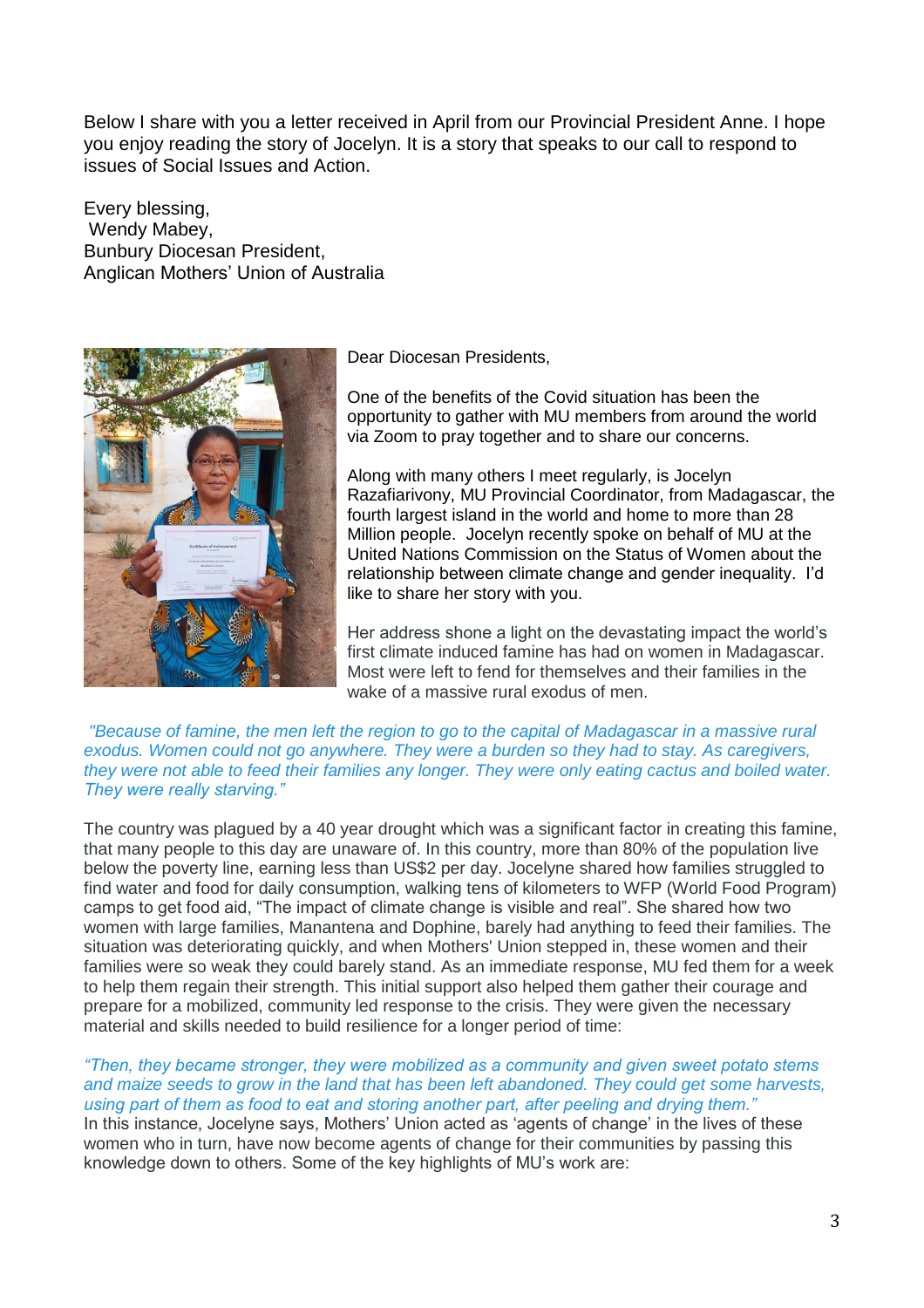Below I share with you a letter received in April from our Provincial President Anne. I hope you enjoy reading the story of Jocelyn. It is a story that speaks to our call to respond to issues of Social Issues and Action.

Every blessing, Wendy Mabey, Bunbury Diocesan President, Anglican Mothers' Union of Australia



Dear Diocesan Presidents,

One of the benefits of the Covid situation has been the opportunity to gather with MU members from around the world via Zoom to pray together and to share our concerns.

Along with many others I meet regularly, is Jocelyn Razafiarivony, MU Provincial Coordinator, from Madagascar, the fourth largest island in the world and home to more than 28 Million people. Jocelyn recently spoke on behalf of MU at the United Nations Commission on the Status of Women about the relationship between climate change and gender inequality. I'd like to share her story with you.

Her address shone a light on the devastating impact the world's first climate induced famine has had on women in Madagascar. Most were left to fend for themselves and their families in the wake of a massive rural exodus of men.

*"Because of famine, the men left the region to go to the capital of Madagascar in a massive rural exodus. Women could not go anywhere. They were a burden so they had to stay. As caregivers, they were not able to feed their families any longer. They were only eating cactus and boiled water. They were really starving."*

The country was plagued by a 40 year drought which was a significant factor in creating this famine, that many people to this day are unaware of. In this country, more than 80% of the population live below the poverty line, earning less than US\$2 per day. Jocelyne shared how families struggled to find water and food for daily consumption, walking tens of kilometers to WFP (World Food Program) camps to get food aid, "The impact of climate change is visible and real". She shared how two women with large families, Manantena and Dophine, barely had anything to feed their families. The situation was deteriorating quickly, and when Mothers' Union stepped in, these women and their families were so weak they could barely stand. As an immediate response, MU fed them for a week to help them regain their strength. This initial support also helped them gather their courage and prepare for a mobilized, community led response to the crisis. They were given the necessary material and skills needed to build resilience for a longer period of time:

### *"Then, they became stronger, they were mobilized as a community and given sweet potato stems and maize seeds to grow in the land that has been left abandoned. They could get some harvests, using part of them as food to eat and storing another part, after peeling and drying them."*

In this instance, Jocelyne says, Mothers' Union acted as 'agents of change' in the lives of these women who in turn, have now become agents of change for their communities by passing this knowledge down to others. Some of the key highlights of MU's work are: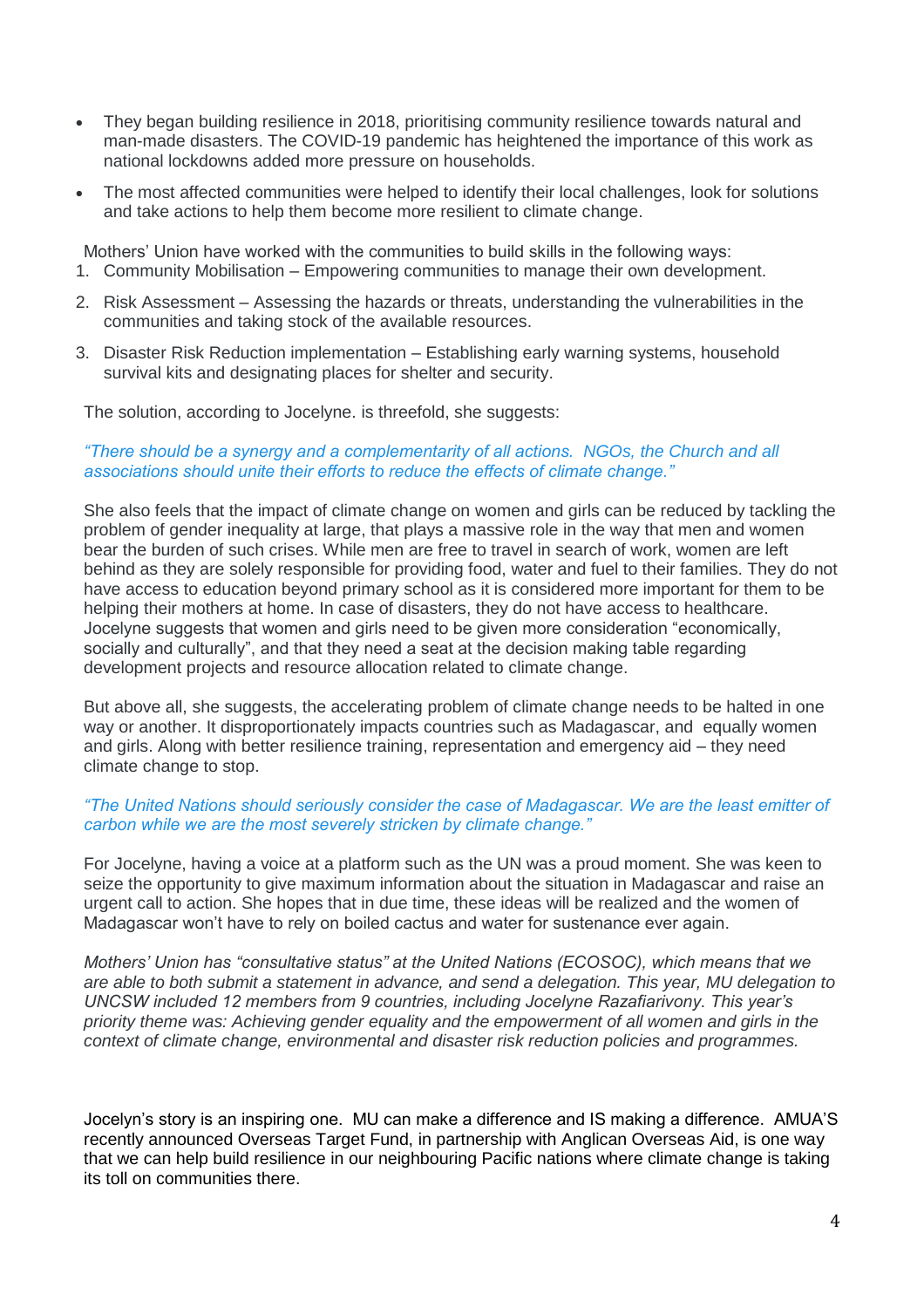- They began building resilience in 2018, prioritising community resilience towards natural and man-made disasters. The COVID-19 pandemic has heightened the importance of this work as national lockdowns added more pressure on households.
- The most affected communities were helped to identify their local challenges, look for solutions and take actions to help them become more resilient to climate change.

Mothers' Union have worked with the communities to build skills in the following ways:

- 1. Community Mobilisation Empowering communities to manage their own development.
- 2. Risk Assessment Assessing the hazards or threats, understanding the vulnerabilities in the communities and taking stock of the available resources.
- 3. Disaster Risk Reduction implementation Establishing early warning systems, household survival kits and designating places for shelter and security.

The solution, according to Jocelyne. is threefold, she suggests:

## *"There should be a synergy and a complementarity of all actions. NGOs, the Church and all associations should unite their efforts to reduce the effects of climate change."*

She also feels that the impact of climate change on women and girls can be reduced by tackling the problem of gender inequality at large, that plays a massive role in the way that men and women bear the burden of such crises. While men are free to travel in search of work, women are left behind as they are solely responsible for providing food, water and fuel to their families. They do not have access to education beyond primary school as it is considered more important for them to be helping their mothers at home. In case of disasters, they do not have access to healthcare. Jocelyne suggests that women and girls need to be given more consideration "economically, socially and culturally", and that they need a seat at the decision making table regarding development projects and resource allocation related to climate change.

But above all, she suggests, the accelerating problem of climate change needs to be halted in one way or another. It disproportionately impacts countries such as Madagascar, and equally women and girls. Along with better resilience training, representation and emergency aid – they need climate change to stop.

## *"The United Nations should seriously consider the case of Madagascar. We are the least emitter of carbon while we are the most severely stricken by climate change."*

For Jocelyne, having a voice at a platform such as the UN was a proud moment. She was keen to seize the opportunity to give maximum information about the situation in Madagascar and raise an urgent call to action. She hopes that in due time, these ideas will be realized and the women of Madagascar won't have to rely on boiled cactus and water for sustenance ever again.

*Mothers' Union has "consultative status" at the United Nations (ECOSOC), which means that we are able to both submit a statement in advance, and send a delegation. This year, MU delegation to UNCSW included 12 members from 9 countries, including Jocelyne Razafiarivony. This year's priority theme was: Achieving gender equality and the empowerment of all women and girls in the context of climate change, environmental and disaster risk reduction policies and programmes.*

Jocelyn's story is an inspiring one. MU can make a difference and IS making a difference. AMUA'S recently announced Overseas Target Fund, in partnership with Anglican Overseas Aid, is one way that we can help build resilience in our neighbouring Pacific nations where climate change is taking its toll on communities there.